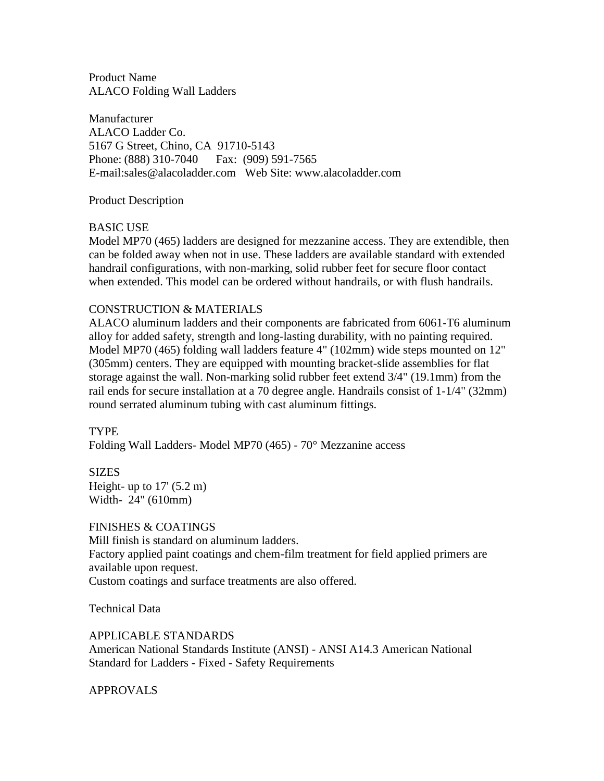Product Name ALACO Folding Wall Ladders

Manufacturer ALACO Ladder Co. 5167 G Street, Chino, CA 91710-5143 Phone: (888) 310-7040 Fax: (909) 591-7565 E-mail:sales@alacoladder.com Web Site: www.alacoladder.com

Product Description

# BASIC USE

Model MP70 (465) ladders are designed for mezzanine access. They are extendible, then can be folded away when not in use. These ladders are available standard with extended handrail configurations, with non-marking, solid rubber feet for secure floor contact when extended. This model can be ordered without handrails, or with flush handrails.

# CONSTRUCTION & MATERIALS

ALACO aluminum ladders and their components are fabricated from 6061-T6 aluminum alloy for added safety, strength and long-lasting durability, with no painting required. Model MP70 (465) folding wall ladders feature 4" (102mm) wide steps mounted on 12" (305mm) centers. They are equipped with mounting bracket-slide assemblies for flat storage against the wall. Non-marking solid rubber feet extend 3/4" (19.1mm) from the rail ends for secure installation at a 70 degree angle. Handrails consist of 1-1/4" (32mm) round serrated aluminum tubing with cast aluminum fittings.

**TYPE** Folding Wall Ladders- Model MP70 (465) - 70° Mezzanine access

SIZES Height- up to  $17'$  (5.2 m) Width- 24" (610mm)

FINISHES & COATINGS Mill finish is standard on aluminum ladders. Factory applied paint coatings and chem-film treatment for field applied primers are available upon request. Custom coatings and surface treatments are also offered.

Technical Data

APPLICABLE STANDARDS

American National Standards Institute (ANSI) - ANSI A14.3 American National Standard for Ladders - Fixed - Safety Requirements

APPROVALS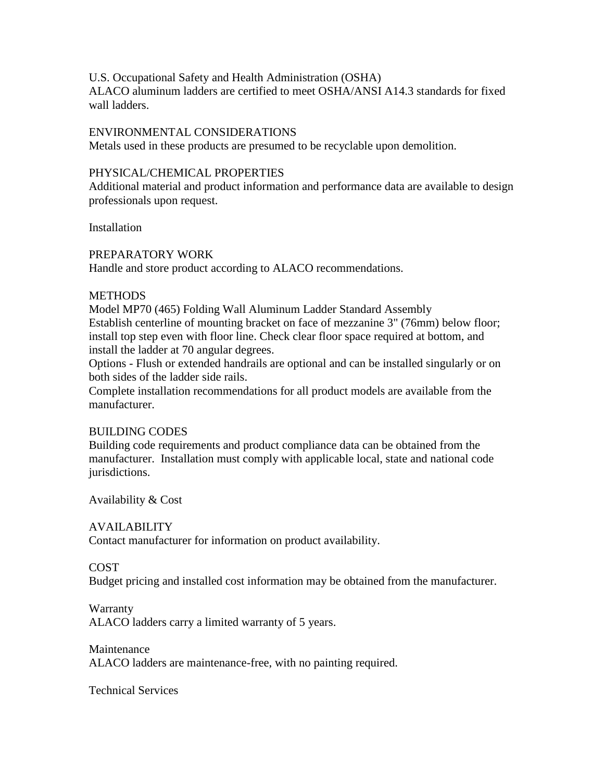U.S. Occupational Safety and Health Administration (OSHA)

ALACO aluminum ladders are certified to meet OSHA/ANSI A14.3 standards for fixed wall ladders.

## ENVIRONMENTAL CONSIDERATIONS

Metals used in these products are presumed to be recyclable upon demolition.

## PHYSICAL/CHEMICAL PROPERTIES

Additional material and product information and performance data are available to design professionals upon request.

**Installation** 

## PREPARATORY WORK

Handle and store product according to ALACO recommendations.

## **METHODS**

Model MP70 (465) Folding Wall Aluminum Ladder Standard Assembly Establish centerline of mounting bracket on face of mezzanine 3" (76mm) below floor; install top step even with floor line. Check clear floor space required at bottom, and install the ladder at 70 angular degrees.

Options - Flush or extended handrails are optional and can be installed singularly or on both sides of the ladder side rails.

Complete installation recommendations for all product models are available from the manufacturer.

# BUILDING CODES

Building code requirements and product compliance data can be obtained from the manufacturer. Installation must comply with applicable local, state and national code jurisdictions.

Availability & Cost

# AVAILABILITY

Contact manufacturer for information on product availability.

#### COST

Budget pricing and installed cost information may be obtained from the manufacturer.

#### **Warranty**

ALACO ladders carry a limited warranty of 5 years.

#### **Maintenance**

ALACO ladders are maintenance-free, with no painting required.

Technical Services